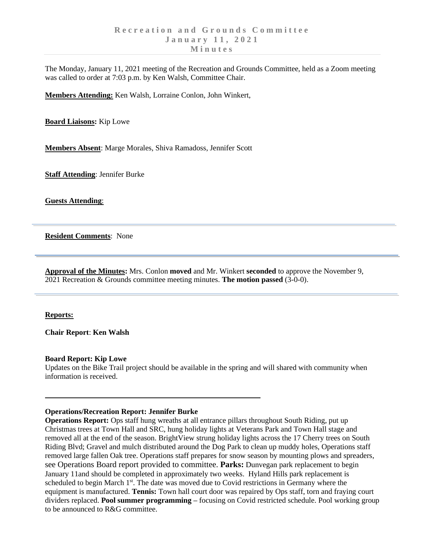The Monday, January 11, 2021 meeting of the Recreation and Grounds Committee, held as a Zoom meeting was called to order at 7:03 p.m. by Ken Walsh, Committee Chair.

**Members Attending:** Ken Walsh, Lorraine Conlon, John Winkert,

**Board Liaisons:** Kip Lowe

**Members Absent**: Marge Morales, Shiva Ramadoss, Jennifer Scott

**Staff Attending**: Jennifer Burke

**Guests Attending**:

**Resident Comments**: None

**Approval of the Minutes:** Mrs. Conlon **moved** and Mr. Winkert **seconded** to approve the November 9, 2021 Recreation & Grounds committee meeting minutes. **The motion passed** (3-0-0).

#### **Reports:**

**Chair Report**: **Ken Walsh**

### **Board Report: Kip Lowe**

Updates on the Bike Trail project should be available in the spring and will shared with community when information is received.

### **Operations/Recreation Report: Jennifer Burke**

**Operations Report:** Ops staff hung wreaths at all entrance pillars throughout South Riding, put up Christmas trees at Town Hall and SRC, hung holiday lights at Veterans Park and Town Hall stage and removed all at the end of the season. BrightView strung holiday lights across the 17 Cherry trees on South Riding Blvd; Gravel and mulch distributed around the Dog Park to clean up muddy holes, Operations staff removed large fallen Oak tree. Operations staff prepares for snow season by mounting plows and spreaders, see Operations Board report provided to committee. **Parks:** Dunvegan park replacement to begin January 11and should be completed in approximately two weeks. Hyland Hills park replacement is scheduled to begin March 1<sup>st</sup>. The date was moved due to Covid restrictions in Germany where the equipment is manufactured. **Tennis:** Town hall court door was repaired by Ops staff, torn and fraying court dividers replaced. **Pool summer programming –** focusing on Covid restricted schedule. Pool working group to be announced to R&G committee.